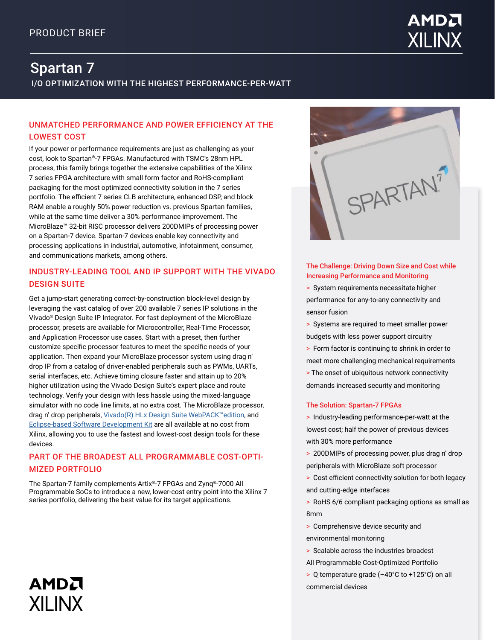

# I/O OPTIMIZATION WITH THE HIGHEST PERFORMANCE-PER-WATT Spartan 7

# UNMATCHED PERFORMANCE AND POWER EFFICIENCY AT THE LOWEST COST

If your power or performance requirements are just as challenging as your cost, look to Spartan®-7 FPGAs. Manufactured with TSMC's 28nm HPL process, this family brings together the extensive capabilities of the Xilinx 7 series FPGA architecture with small form factor and RoHS-compliant packaging for the most optimized connectivity solution in the 7 series portfolio. The efficient 7 series CLB architecture, enhanced DSP, and block RAM enable a roughly 50% power reduction vs. previous Spartan families, while at the same time deliver a 30% performance improvement. The MicroBlaze™ 32-bit RISC processor delivers 200DMIPs of processing power on a Spartan-7 device. Spartan-7 devices enable key connectivity and processing applications in industrial, automotive, infotainment, consumer, and communications markets, among others.

# INDUSTRY-LEADING TOOL AND IP SUPPORT WITH THE VIVADO DESIGN SUITE

Get a jump-start generating correct-by-construction block-level design by leveraging the vast catalog of over 200 available 7 series IP solutions in the Vivado® Design Suite IP Integrator. For fast deployment of the MicroBlaze processor, presets are available for Microcontroller, Real-Time Processor, and Application Processor use cases. Start with a preset, then further customize specific processor features to meet the specific needs of your application. Then expand your MicroBlaze processor system using drag n' drop IP from a catalog of driver-enabled peripherals such as PWMs, UARTs, serial interfaces, etc. Achieve timing closure faster and attain up to 20% higher utilization using the Vivado Design Suite's expert place and route technology. Verify your design with less hassle using the mixed-language simulator with no code line limits, at no extra cost. The MicroBlaze processor, drag n' drop peripherals, [Vivado\(R\) HLx Design Suite WebPACK™edition](http://www.xilinx.com/vivado), and [Eclipse-based Software Development Kit](https://www.xilinx.com/products/design-tools/embedded-software/sdk.html) are all available at no cost from Xilinx, allowing you to use the fastest and lowest-cost design tools for these devices.

# PART OF THE BROADEST ALL PROGRAMMABLE COST-OPTI-MIZED PORTFOLIO

The Spartan-7 family complements Artix®-7 FPGAs and Zynq®-7000 All Programmable SoCs to introduce a new, lower-cost entry point into the Xilinx 7 series portfolio, delivering the best value for its target applications.

AMDA

**XII INX** 



## The Challenge: Driving Down Size and Cost while Increasing Performance and Monitoring

> System requirements necessitate higher performance for any-to-any connectivity and sensor fusion

> Systems are required to meet smaller power budgets with less power support circuitry

> Form factor is continuing to shrink in order to meet more challenging mechanical requirements > The onset of ubiquitous network connectivity demands increased security and monitoring

### The Solution: Spartan-7 FPGAs

> Industry-leading performance-per-watt at the lowest cost; half the power of previous devices with 30% more performance

> 200DMIPs of processing power, plus drag n' drop peripherals with MicroBlaze soft processor

> Cost efficient connectivity solution for both legacy and cutting-edge interfaces

> RoHS 6/6 compliant packaging options as small as 8mm

> Comprehensive device security and

environmental monitoring

> Scalable across the industries broadest

All Programmable Cost-Optimized Portfolio

> Q temperature grade (–40°C to +125°C) on all commercial devices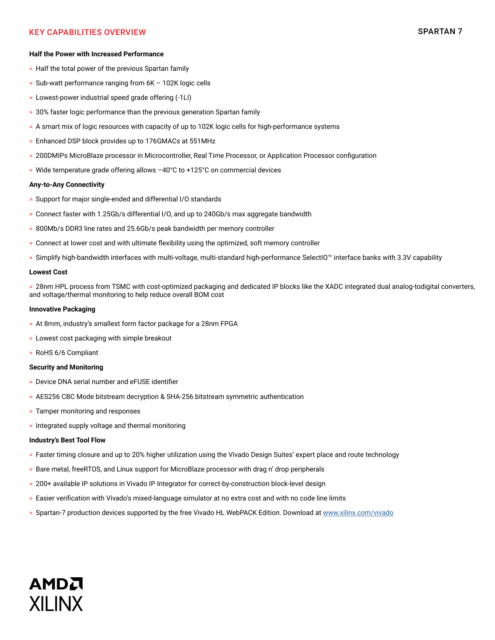# KEY CAPABILITIES OVERVIEW SPARTAN 7

#### **Half the Power with Increased Performance**

- > Half the total power of the previous Spartan family
- > Sub-watt performance ranging from 6K 102K logic cells
- > Lowest-power industrial speed grade offering (-1LI)
- > 30% faster logic performance than the previous generation Spartan family
- > A smart mix of logic resources with capacity of up to 102K logic cells for high-performance systems
- > Enhanced DSP block provides up to 176GMACs at 551MHz
- > 200DMIPs MicroBlaze processor in Microcontroller, Real Time Processor, or Application Processor configuration
- > Wide temperature grade offering allows –40°C to +125°C on commercial devices

#### **Any-to-Any Connectivity**

- > Support for major single-ended and differential I/O standards
- > Connect faster with 1.25Gb/s differential I/O, and up to 240Gb/s max aggregate bandwidth
- > 800Mb/s DDR3 line rates and 25.6Gb/s peak bandwidth per memory controller
- > Connect at lower cost and with ultimate flexibility using the optimized, soft memory controller
- > Simplify high-bandwidth interfaces with multi-voltage, multi-standard high-performance SelectIO™ interface banks with 3.3V capability

#### **Lowest Cost**

> 28nm HPL process from TSMC with cost-optimized packaging and dedicated IP blocks like the XADC integrated dual analog-todigital converters, and voltage/thermal monitoring to help reduce overall BOM cost

#### **Innovative Packaging**

- > At 8mm, industry's smallest form factor package for a 28nm FPGA
- > Lowest cost packaging with simple breakout
- > RoHS 6/6 Compliant

#### **Security and Monitoring**

- > Device DNA serial number and eFUSE identifier
- > AES256 CBC Mode bitstream decryption & SHA-256 bitstream symmetric authentication
- > Tamper monitoring and responses
- > Integrated supply voltage and thermal monitoring

#### **Industry's Best Tool Flow**

- > Faster timing closure and up to 20% higher utilization using the Vivado Design Suites' expert place and route technology
- > Bare metal, freeRTOS, and Linux support for MicroBlaze processor with drag n' drop peripherals
- > 200+ available IP solutions in Vivado IP Integrator for correct-by-construction block-level design
- > Easier verification with Vivado's mixed-language simulator at no extra cost and with no code line limits
- > Spartan-7 production devices supported by the free Vivado HL WebPACK Edition. Download at [www.xilinx.com/vivado](http://www.xilinx.com/vivado)

# AMDA **XII INX**